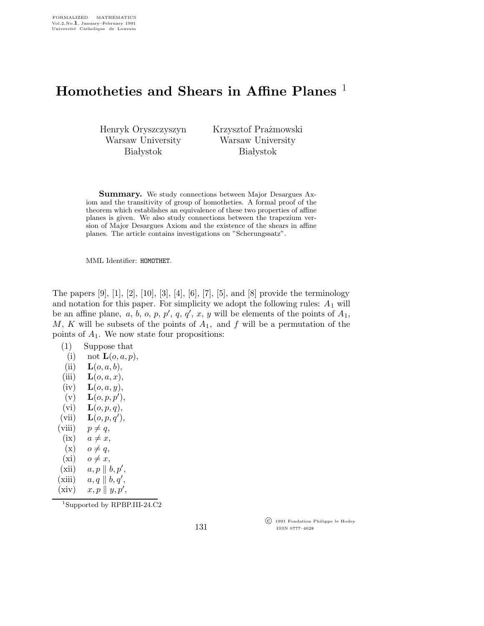## Homotheties and Shears in Affine Planes<sup>1</sup>

Henryk Oryszczyszyn Warsaw University **Białystok** 

Krzysztof Prażmowski Warsaw University **Białystok** 

Summary. We study connections between Major Desargues Axiom and the transitivity of group of homotheties. A formal proof of the theorem which establishes an equivalence of these two properties of affine planes is given. We also study connections between the trapezium version of Major Desargues Axiom and the existence of the shears in affine planes. The article contains investigations on "Scherungssatz".

MML Identifier: HOMOTHET.

The papers  $[9]$ ,  $[1]$ ,  $[2]$ ,  $[10]$ ,  $[3]$ ,  $[4]$ ,  $[6]$ ,  $[7]$ ,  $[5]$ , and  $[8]$  provide the terminology and notation for this paper. For simplicity we adopt the following rules:  $A_1$  will be an affine plane,  $a, b, o, p, p', q, q', x, y$  will be elements of the points of  $A_1$ , M, K will be subsets of the points of  $A_1$ , and f will be a permutation of the points of  $A_1$ . We now state four propositions:

| (1)         | Suppose that                |  |
|-------------|-----------------------------|--|
| (i)         | not $\mathbf{L}(o, a, p)$ , |  |
| $\lambda$ . |                             |  |

- $(ii)$   $\mathbf{L}(o, a, b),$
- (iii)  $\mathbf{L}(o, a, x)$ ,
- $(iv)$   $\mathbf{L}(o, a, y),$
- $\mathbf{L}(o, p, p'),$
- (vi)  $\mathbf{L}(o,p,q)$ ,
- $(vii)$   $\mathbf{L}(o, p, q'),$
- (viii)  $p \neq q$ ,
- (ix)  $a \neq x$ ,
- $(x)$   $o \neq q$ ,
- $(xi)$   $o \neq x,$
- $(xii)$   $a, p \parallel b, p',$
- $(xiii)$   $a, q \parallel b, q',$
- $(xiv)$   $x, p \parallel y, p',$

<sup>1</sup>Supported by RPBP.III-24.C2

 c 1991 Fondation Philippe le Hodey ISSN 0777–4028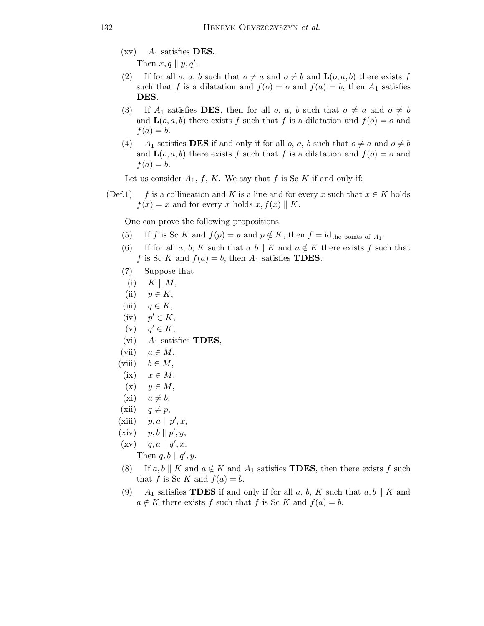$(xv)$   $A_1$  satisfies **DES**.

Then  $x, q \parallel y, q'$ .

- (2) If for all o, a, b such that  $o \neq a$  and  $o \neq b$  and  $\mathbf{L}(o,a,b)$  there exists f such that f is a dilatation and  $f(o) = o$  and  $f(a) = b$ , then  $A_1$  satisfies DES.
- (3) If  $A_1$  satisfies **DES**, then for all o, a, b such that  $o \neq a$  and  $o \neq b$ and  $\mathbf{L}(o,a,b)$  there exists f such that f is a dilatation and  $f(o) = o$  and  $f(a) = b.$
- (4) A<sub>1</sub> satisfies **DES** if and only if for all o, a, b such that  $o \neq a$  and  $o \neq b$ and  $\mathbf{L}(o,a,b)$  there exists f such that f is a dilatation and  $f(o) = o$  and  $f(a) = b.$

Let us consider  $A_1$ , f, K. We say that f is Sc K if and only if:

(Def.1) f is a collineation and K is a line and for every x such that  $x \in K$  holds  $f(x) = x$  and for every x holds  $x, f(x) \parallel K$ .

One can prove the following propositions:

- (5) If f is Sc K and  $f(p) = p$  and  $p \notin K$ , then  $f = id$ <sub>the points of  $A_1$ .</sub>
- (6) If for all a, b, K such that a, b || K and  $a \notin K$  there exists f such that f is Sc K and  $f(a) = b$ , then  $A_1$  satisfies **TDES**.
- (7) Suppose that
- (i)  $K \parallel M$ ,
- (ii)  $p \in K$ ,
- (iii)  $q \in K$ ,
- $(iv)$  $p' \in K$ ,
- $(v)$  $q' \in K$ ,
- (vi)  $A_1$  satisfies **TDES**,
- (vii)  $a \in M$ ,
- (viii)  $b \in M$ ,
- (ix)  $x \in M$ ,
- (x)  $y \in M$ ,
- $(xi)$   $a \neq b$ ,
- (xii)  $q \neq p$ ,
- (xiii)  $p, a \parallel p', x$ ,
- $(xiv)$   $p, b \parallel p', y,$
- $(xv)$  q, a || q', x.
	- Then  $q, b \parallel q', y$ .
- (8) If a, b || K and  $a \notin K$  and  $A_1$  satisfies **TDES**, then there exists f such that f is Sc K and  $f(a) = b$ .
- (9)  $A_1$  satisfies **TDES** if and only if for all a, b, K such that a, b || K and  $a \notin K$  there exists f such that f is Sc K and  $f(a) = b$ .